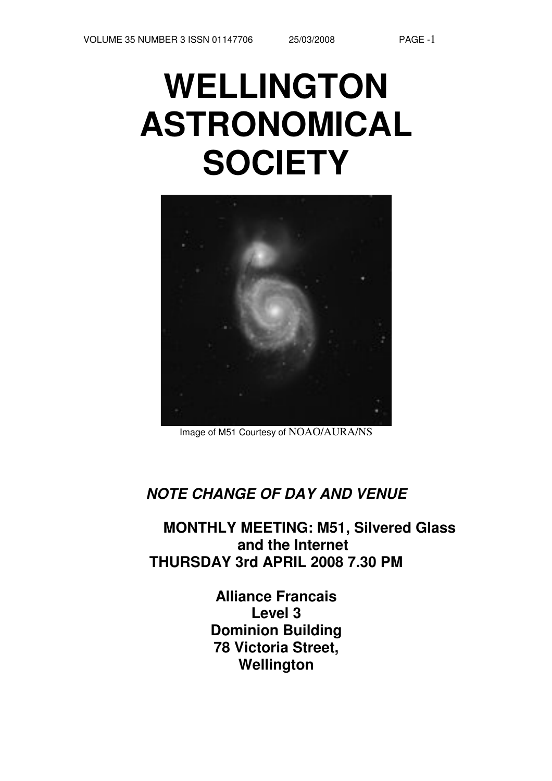# **WELLINGTON ASTRONOMICAL SOCIETY**



Image of M51 Courtesy of NOAO/AURA/NS

## **NOTE CHANGE OF DAY AND VENUE**

**MONTHLY MEETING: M51, Silvered Glass and the Internet THURSDAY 3rd APRIL 2008 7.30 PM**

> **Alliance Francais Level 3 Dominion Building 78 Victoria Street, Wellington**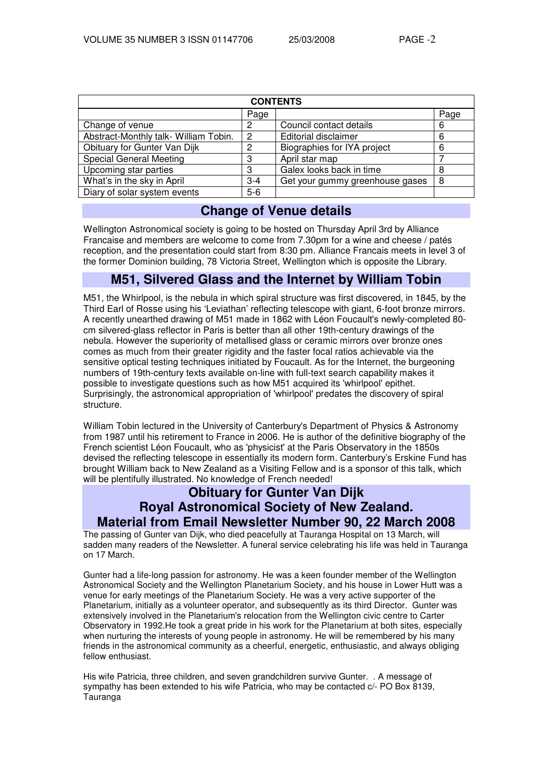| <b>CONTENTS</b>                       |                |                                 |      |  |  |  |
|---------------------------------------|----------------|---------------------------------|------|--|--|--|
|                                       | Page           |                                 | Page |  |  |  |
| Change of venue                       | 2              | Council contact details         | 6    |  |  |  |
| Abstract-Monthly talk- William Tobin. | $\overline{2}$ | Editorial disclaimer            | 6    |  |  |  |
| Obituary for Gunter Van Dijk          | 2              | Biographies for IYA project     | 6    |  |  |  |
| <b>Special General Meeting</b>        | 3              | April star map                  |      |  |  |  |
| Upcoming star parties                 | 3              | Galex looks back in time        | 8    |  |  |  |
| What's in the sky in April            | $3 - 4$        | Get your gummy greenhouse gases | 8    |  |  |  |
| Diary of solar system events          | $5-6$          |                                 |      |  |  |  |

## **Change of Venue details**

Wellington Astronomical society is going to be hosted on Thursday April 3rd by Alliance Francaise and members are welcome to come from 7.30pm for a wine and cheese / patés reception, and the presentation could start from 8:30 pm. Alliance Francais meets in level 3 of the former Dominion building, 78 Victoria Street, Wellington which is opposite the Library.

## **M51, Silvered Glass and the Internet by William Tobin**

M51, the Whirlpool, is the nebula in which spiral structure was first discovered, in 1845, by the Third Earl of Rosse using his 'Leviathan' reflecting telescope with giant, 6-foot bronze mirrors. A recently unearthed drawing of M51 made in 1862 with Léon Foucault's newly-completed 80 cm silvered-glass reflector in Paris is better than all other 19th-century drawings of the nebula. However the superiority of metallised glass or ceramic mirrors over bronze ones comes as much from their greater rigidity and the faster focal ratios achievable via the sensitive optical testing techniques initiated by Foucault. As for the Internet, the burgeoning numbers of 19th-century texts available on-line with full-text search capability makes it possible to investigate questions such as how M51 acquired its 'whirlpool' epithet. Surprisingly, the astronomical appropriation of 'whirlpool' predates the discovery of spiral structure.

William Tobin lectured in the University of Canterbury's Department of Physics & Astronomy from 1987 until his retirement to France in 2006. He is author of the definitive biography of the French scientist Léon Foucault, who as 'physicist' at the Paris Observatory in the 1850s devised the reflecting telescope in essentially its modern form. Canterbury's Erskine Fund has brought William back to New Zealand as a Visiting Fellow and is a sponsor of this talk, which will be plentifully illustrated. No knowledge of French needed!

## **Obituary for Gunter Van Dijk Royal Astronomical Society of New Zealand. Material from Email Newsletter Number 90, 22 March 2008**

The passing of Gunter van Dijk, who died peacefully at Tauranga Hospital on 13 March, will sadden many readers of the Newsletter. A funeral service celebrating his life was held in Tauranga on 17 March.

Gunter had a life-long passion for astronomy. He was a keen founder member of the Wellington Astronomical Society and the Wellington Planetarium Society, and his house in Lower Hutt was a venue for early meetings of the Planetarium Society. He was a very active supporter of the Planetarium, initially as a volunteer operator, and subsequently as its third Director. Gunter was extensively involved in the Planetarium's relocation from the Wellington civic centre to Carter Observatory in 1992.He took a great pride in his work for the Planetarium at both sites, especially when nurturing the interests of young people in astronomy. He will be remembered by his many friends in the astronomical community as a cheerful, energetic, enthusiastic, and always obliging fellow enthusiast.

His wife Patricia, three children, and seven grandchildren survive Gunter. . A message of sympathy has been extended to his wife Patricia, who may be contacted c/- PO Box 8139, **Tauranga**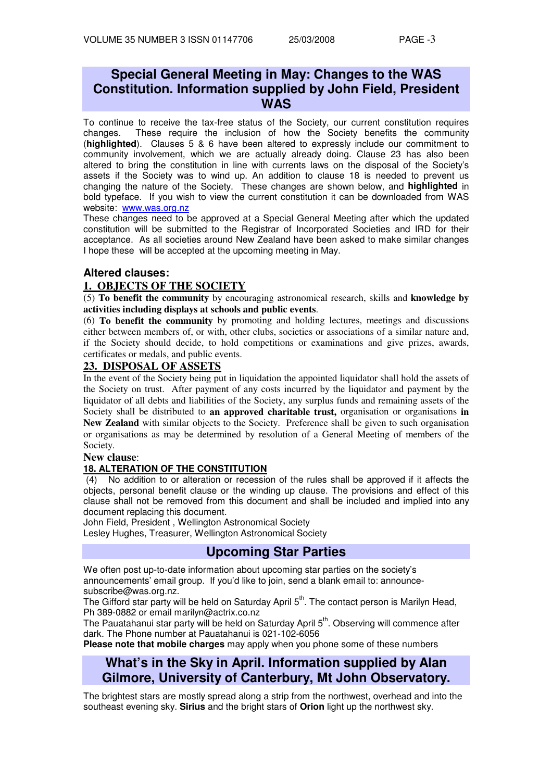## **Special General Meeting in May: Changes to the WAS Constitution. Information supplied by John Field, President WAS**

To continue to receive the tax-free status of the Society, our current constitution requires changes. These require the inclusion of how the Society benefits the community (**highlighted**). Clauses 5 & 6 have been altered to expressly include our commitment to community involvement, which we are actually already doing. Clause 23 has also been altered to bring the constitution in line with currents laws on the disposal of the Society's assets if the Society was to wind up. An addition to clause 18 is needed to prevent us changing the nature of the Society. These changes are shown below, and **highlighted** in bold typeface. If you wish to view the current constitution it can be downloaded from WAS website: www.was.org.nz

These changes need to be approved at a Special General Meeting after which the updated constitution will be submitted to the Registrar of Incorporated Societies and IRD for their acceptance. As all societies around New Zealand have been asked to make similar changes I hope these will be accepted at the upcoming meeting in May.

## **Altered clauses:**

## **1. OBJECTS OF THE SOCIETY**

(5) **To benefit the community** by encouraging astronomical research, skills and **knowledge by activities including displays at schools and public events**.

(6) **To benefit the community** by promoting and holding lectures, meetings and discussions either between members of, or with, other clubs, societies or associations of a similar nature and, if the Society should decide, to hold competitions or examinations and give prizes, awards, certificates or medals, and public events.

#### **23. DISPOSAL OF ASSETS**

In the event of the Society being put in liquidation the appointed liquidator shall hold the assets of the Society on trust. After payment of any costs incurred by the liquidator and payment by the liquidator of all debts and liabilities of the Society, any surplus funds and remaining assets of the Society shall be distributed to **an approved charitable trust,** organisation or organisations **in New Zealand** with similar objects to the Society. Preference shall be given to such organisation or organisations as may be determined by resolution of a General Meeting of members of the Society.

#### **New clause**:

#### **18. ALTERATION OF THE CONSTITUTION**

(4) No addition to or alteration or recession of the rules shall be approved if it affects the objects, personal benefit clause or the winding up clause. The provisions and effect of this clause shall not be removed from this document and shall be included and implied into any document replacing this document.

John Field, President , Wellington Astronomical Society

Lesley Hughes, Treasurer, Wellington Astronomical Society

## **Upcoming Star Parties**

We often post up-to-date information about upcoming star parties on the society's announcements' email group. If you'd like to join, send a blank email to: announcesubscribe@was.org.nz.

The Gifford star party will be held on Saturday April 5<sup>th</sup>. The contact person is Marilyn Head, Ph 389-0882 or email marilyn@actrix.co.nz

The Pauatahanui star party will be held on Saturday April 5<sup>th</sup>. Observing will commence after dark. The Phone number at Pauatahanui is 021-102-6056

**Please note that mobile charges** may apply when you phone some of these numbers

## **What's in the Sky in April. Information supplied by Alan Gilmore, University of Canterbury, Mt John Observatory.**

The brightest stars are mostly spread along a strip from the northwest, overhead and into the southeast evening sky. **Sirius** and the bright stars of **Orion** light up the northwest sky.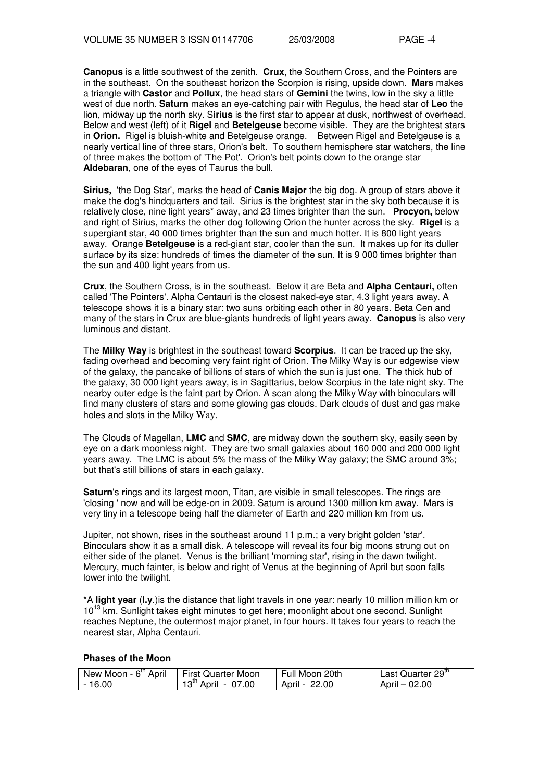**Canopus** is a little southwest of the zenith. **Crux**, the Southern Cross, and the Pointers are in the southeast. On the southeast horizon the Scorpion is rising, upside down. **Mars** makes a triangle with **Castor** and **Pollux**, the head stars of **Gemini** the twins, low in the sky a little west of due north. **Saturn** makes an eye-catching pair with Regulus, the head star of **Leo** the lion, midway up the north sky. S**irius** is the first star to appear at dusk, northwest of overhead. Below and west (left) of it **Rigel** and **Betelgeuse** become visible. They are the brightest stars in **Orion.** Rigel is bluish-white and Betelgeuse orange. Between Rigel and Betelgeuse is a nearly vertical line of three stars, Orion's belt. To southern hemisphere star watchers, the line of three makes the bottom of 'The Pot'. Orion's belt points down to the orange star **Aldebaran**, one of the eyes of Taurus the bull.

**Sirius,** 'the Dog Star', marks the head of **Canis Major** the big dog. A group of stars above it make the dog's hindquarters and tail. Sirius is the brightest star in the sky both because it is relatively close, nine light years\* away, and 23 times brighter than the sun. **Procyon,** below and right of Sirius, marks the other dog following Orion the hunter across the sky. **Rigel** is a supergiant star, 40 000 times brighter than the sun and much hotter. It is 800 light years away. Orange **Betelgeuse** is a red-giant star, cooler than the sun. It makes up for its duller surface by its size: hundreds of times the diameter of the sun. It is 9 000 times brighter than the sun and 400 light years from us.

**Crux**, the Southern Cross, is in the southeast. Below it are Beta and **Alpha Centauri,** often called 'The Pointers'. Alpha Centauri is the closest naked-eye star, 4.3 light years away. A telescope shows it is a binary star: two suns orbiting each other in 80 years. Beta Cen and many of the stars in Crux are blue-giants hundreds of light years away. **Canopus** is also very luminous and distant.

The **Milky Way** is brightest in the southeast toward **Scorpius**. It can be traced up the sky, fading overhead and becoming very faint right of Orion. The Milky Way is our edgewise view of the galaxy, the pancake of billions of stars of which the sun is just one. The thick hub of the galaxy, 30 000 light years away, is in Sagittarius, below Scorpius in the late night sky. The nearby outer edge is the faint part by Orion. A scan along the Milky Way with binoculars will find many clusters of stars and some glowing gas clouds. Dark clouds of dust and gas make holes and slots in the Milky Way.

The Clouds of Magellan, **LMC** and **SMC**, are midway down the southern sky, easily seen by eye on a dark moonless night. They are two small galaxies about 160 000 and 200 000 light years away. The LMC is about 5% the mass of the Milky Way galaxy; the SMC around 3%; but that's still billions of stars in each galaxy.

**Saturn**'s **r**ings and its largest moon, Titan, are visible in small telescopes. The rings are 'closing ' now and will be edge-on in 2009. Saturn is around 1300 million km away. Mars is very tiny in a telescope being half the diameter of Earth and 220 million km from us.

Jupiter, not shown, rises in the southeast around 11 p.m.; a very bright golden 'star'. Binoculars show it as a small disk. A telescope will reveal its four big moons strung out on either side of the planet. Venus is the brilliant 'morning star', rising in the dawn twilight. Mercury, much fainter, is below and right of Venus at the beginning of April but soon falls lower into the twilight.

\*A **light year** (**l.y**.)is the distance that light travels in one year: nearly 10 million million km or 10<sup>13</sup> km. Sunlight takes eight minutes to get here; moonlight about one second. Sunlight reaches Neptune, the outermost major planet, in four hours. It takes four years to reach the nearest star, Alpha Centauri.

#### **Phases of the Moon**

| New Moon - 6 <sup>th</sup> April | <b>First Quarter Moon</b>          | Full Moon 20th | Last Quarter 29 <sup>th</sup> |
|----------------------------------|------------------------------------|----------------|-------------------------------|
| $-16.00$                         | April - 07.00<br>$13^{\circ\circ}$ | April - 22.00  | April - 02.00                 |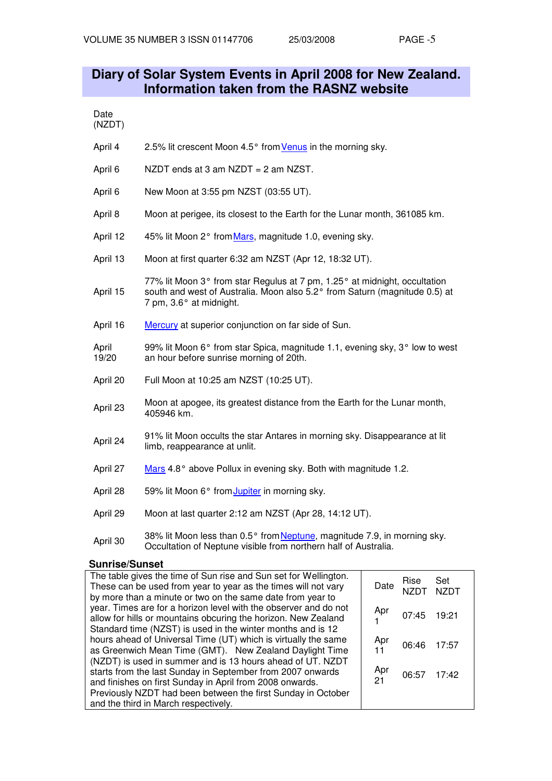## **Diary of Solar System Events in April 2008 for New Zealand. Information taken from the RASNZ website**

| ı.<br>іате |  |
|------------|--|
| JZI<br>D.  |  |

- April 4 2.5% lit crescent Moon 4.5° from Venus in the morning sky.
- April 6 NZDT ends at 3 am NZDT = 2 am NZST.
- April 6 New Moon at 3:55 pm NZST (03:55 UT).
- April 8 Moon at perigee, its closest to the Earth for the Lunar month, 361085 km.
- April 12 45% lit Moon 2° from Mars, magnitude 1.0, evening sky.
- April 13 Moon at first quarter 6:32 am NZST (Apr 12, 18:32 UT).
- April 15 77% lit Moon 3° from star Regulus at 7 pm, 1.25° at midnight, occultation south and west of Australia. Moon also 5.2° from Saturn (magnitude 0.5) at 7 pm, 3.6° at midnight.
- April 16 Mercury at superior conjunction on far side of Sun.
- April 19/20 99% lit Moon 6° from star Spica, magnitude 1.1, evening sky, 3° low to west an hour before sunrise morning of 20th.
- April 20 Full Moon at 10:25 am NZST (10:25 UT).
- April 23 Moon at apogee, its greatest distance from the Earth for the Lunar month, 405946 km.
- April 24 91% lit Moon occults the star Antares in morning sky. Disappearance at lit limb, reappearance at unlit.
- April 27 Mars 4.8° above Pollux in evening sky. Both with magnitude 1.2.
- April 28 59% lit Moon 6° from Jupiter in morning sky.
- April 29 Moon at last quarter 2:12 am NZST (Apr 28, 14:12 UT).
- April 30 38% lit Moon less than 0.5° from Neptune, magnitude 7.9, in morning sky. Occultation of Neptune visible from northern half of Australia.

#### **Sunrise/Sunset**

| The table gives the time of Sun rise and Sun set for Wellington.<br>These can be used from year to year as the times will not vary                                                               | Date      | Rise        | Set<br><b>NZDT</b> |
|--------------------------------------------------------------------------------------------------------------------------------------------------------------------------------------------------|-----------|-------------|--------------------|
| by more than a minute or two on the same date from year to<br>year. Times are for a horizon level with the observer and do not<br>allow for hills or mountains obcuring the horizon. New Zealand | Apr       | 07:45 19:21 |                    |
| Standard time (NZST) is used in the winter months and is 12<br>hours ahead of Universal Time (UT) which is virtually the same<br>as Greenwich Mean Time (GMT). New Zealand Daylight Time         | Apr       | 06:46       | 17:57              |
| (NZDT) is used in summer and is 13 hours ahead of UT. NZDT<br>starts from the last Sunday in September from 2007 onwards<br>and finishes on first Sunday in April from 2008 onwards.             | Apr<br>21 | 06:57       | 17:42              |
| Previously NZDT had been between the first Sunday in October<br>and the third in March respectively.                                                                                             |           |             |                    |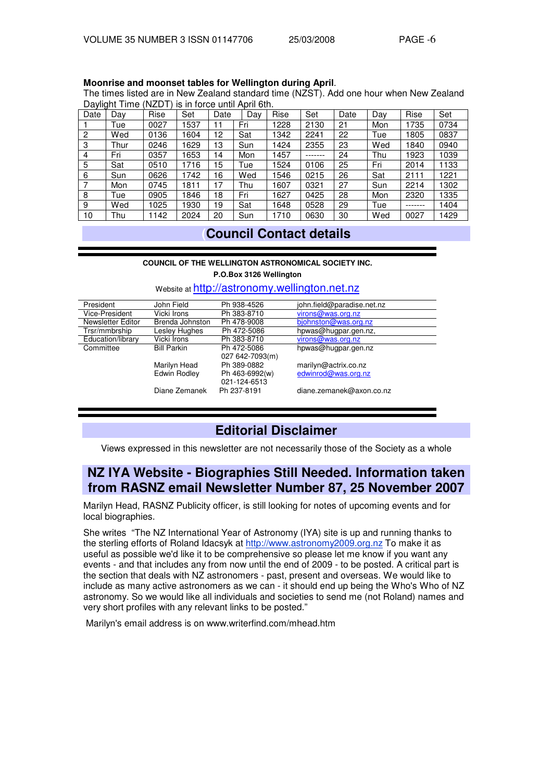#### **Moonrise and moonset tables for Wellington during April**.

The times listed are in New Zealand standard time (NZST). Add one hour when New Zealand Daylight Time (NZDT) is in force until April 6th.

| Date | . .<br>Dav | Rise | Set  | Date           | Dav | Rise | Set     | Date | Day | Rise    | Set  |
|------|------------|------|------|----------------|-----|------|---------|------|-----|---------|------|
|      | Tue        | 0027 | 1537 | 1              | Fri | 1228 | 2130    | 21   | Mon | 1735    | 0734 |
| 2    | Wed        | 0136 | 1604 | 12             | Sat | 1342 | 2241    | 22   | Tue | 1805    | 0837 |
| 3    | Thur       | 0246 | 1629 | 13             | Sun | 1424 | 2355    | 23   | Wed | 1840    | 0940 |
| 4    | Fri        | 0357 | 1653 | $\overline{4}$ | Mon | 1457 | ------- | 24   | Thu | 1923    | 1039 |
| 5    | Sat        | 0510 | 1716 | 5              | Tue | 1524 | 0106    | 25   | Fri | 2014    | 1133 |
| 6    | Sun        | 0626 | 1742 | 6              | Wed | 1546 | 0215    | 26   | Sat | 2111    | 1221 |
|      | Mon        | 0745 | 1811 | ۱7             | Thu | 1607 | 0321    | 27   | Sun | 2214    | 1302 |
| 8    | Tue        | 0905 | 1846 | 8              | Fri | 1627 | 0425    | 28   | Mon | 2320    | 1335 |
| 9    | Wed        | 1025 | 930  | 19             | Sat | 1648 | 0528    | 29   | Tue | ------- | 1404 |
| 10   | Thu        | 1142 | 2024 | 20             | Sun | 1710 | 0630    | 30   | Wed | 0027    | 1429 |

## **(Council Contact details**

#### **COUNCIL OF THE WELLINGTON ASTRONOMICAL SOCIETY INC.**

**P.O.Box 3126 Wellington**

| President         | John Field         | Ph 938-4526     | john.field@paradise.net.nz |
|-------------------|--------------------|-----------------|----------------------------|
| Vice-President    | Vicki Irons        | Ph 383-8710     | virons@was.org.nz          |
| Newsletter Editor | Brenda Johnston    | Ph 478-9008     | bjohnston@was.org.nz       |
| Trsr/mmbrship     | Lesley Hughes      | Ph 472-5086     | hpwas@hugpar.gen.nz,       |
| Education/library | Vicki Irons        | Ph 383-8710     | virons@was.org.nz          |
| Committee         | <b>Bill Parkin</b> | Ph 472-5086     | hpwas@hugpar.gen.nz        |
|                   |                    | 027 642-7093(m) |                            |
|                   | Marilyn Head       | Ph 389-0882     | marilyn@actrix.co.nz       |
|                   | Edwin Rodley       | Ph 463-6992(w)  | edwinrod@was.org.nz        |
|                   |                    | 021-124-6513    |                            |
|                   | Diane Zemanek      | Ph 237-8191     | diane.zemanek@axon.co.nz   |
|                   |                    |                 |                            |
|                   |                    |                 |                            |

#### Website at http://astronomy.wellington.net.nz

## **Editorial Disclaimer**

Views expressed in this newsletter are not necessarily those of the Society as a whole

## **NZ IYA Website - Biographies Still Needed. Information taken from RASNZ email Newsletter Number 87, 25 November 2007**

Marilyn Head, RASNZ Publicity officer, is still looking for notes of upcoming events and for local biographies.

She writes "The NZ International Year of Astronomy (IYA) site is up and running thanks to the sterling efforts of Roland Idacsyk at http://www.astronomy2009.org.nz To make it as useful as possible we'd like it to be comprehensive so please let me know if you want any events - and that includes any from now until the end of 2009 - to be posted. A critical part is the section that deals with NZ astronomers - past, present and overseas. We would like to include as many active astronomers as we can - it should end up being the Who's Who of NZ astronomy. So we would like all individuals and societies to send me (not Roland) names and very short profiles with any relevant links to be posted."

Marilyn's email address is on www.writerfind.com/mhead.htm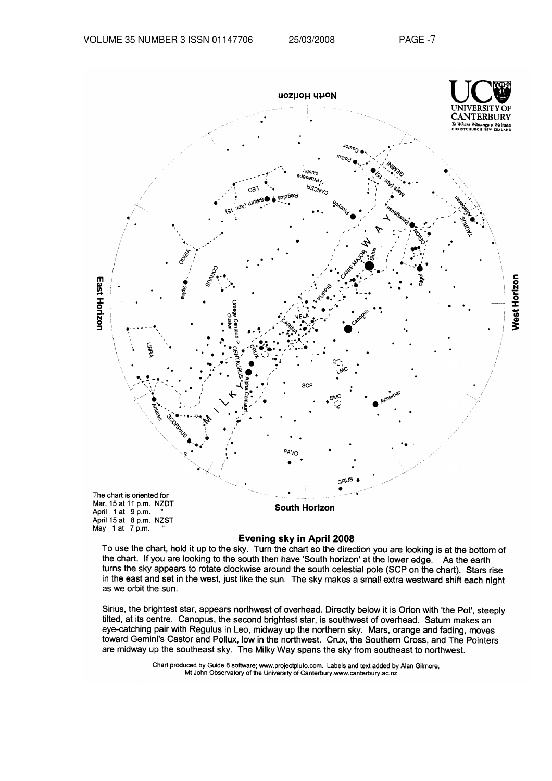

#### Evening sky in April 2008

To use the chart, hold it up to the sky. Turn the chart so the direction you are looking is at the bottom of the chart. If you are looking to the south then have 'South horizon' at the lower edge. As the earth turns the sky appears to rotate clockwise around the south celestial pole (SCP on the chart). Stars rise in the east and set in the west, just like the sun. The sky makes a small extra westward shift each night as we orbit the sun.

Sirius, the brightest star, appears northwest of overhead. Directly below it is Orion with 'the Pot', steeply tilted, at its centre. Canopus, the second brightest star, is southwest of overhead. Saturn makes an eye-catching pair with Regulus in Leo, midway up the northern sky. Mars, orange and fading, moves toward Gemini's Castor and Pollux, low in the northwest. Crux, the Southern Cross, and The Pointers are midway up the southeast sky. The Milky Way spans the sky from southeast to northwest.

> Chart produced by Guide 8 software; www.projectpluto.com. Labels and text added by Alan Gilmore, Mt John Observatory of the University of Canterbury.www.canterbury.ac.nz